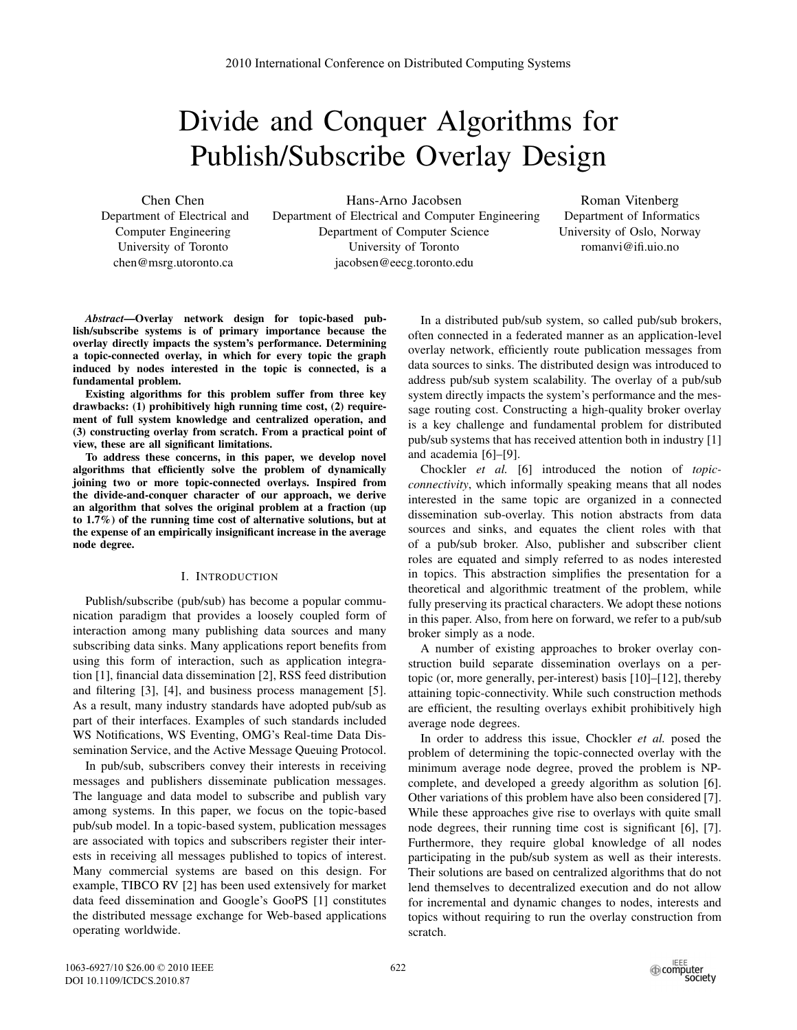# Divide and Conquer Algorithms for Publish/Subscribe Overlay Design

Chen Chen Department of Electrical and Computer Engineering University of Toronto chen@msrg.utoronto.ca

Hans-Arno Jacobsen Department of Electrical and Computer Engineering Department of Computer Science University of Toronto jacobsen@eecg.toronto.edu

Roman Vitenberg Department of Informatics University of Oslo, Norway romanvi@ifi.uio.no

*Abstract***—Overlay network design for topic-based publish/subscribe systems is of primary importance because the overlay directly impacts the system's performance. Determining a topic-connected overlay, in which for every topic the graph induced by nodes interested in the topic is connected, is a fundamental problem.**

**Existing algorithms for this problem suffer from three key drawbacks: (1) prohibitively high running time cost, (2) requirement of full system knowledge and centralized operation, and (3) constructing overlay from scratch. From a practical point of view, these are all significant limitations.**

**To address these concerns, in this paper, we develop novel algorithms that efficiently solve the problem of dynamically joining two or more topic-connected overlays. Inspired from the divide-and-conquer character of our approach, we derive an algorithm that solves the original problem at a fraction (up to 1.7%) of the running time cost of alternative solutions, but at the expense of an empirically insignificant increase in the average node degree.**

#### I. INTRODUCTION

Publish/subscribe (pub/sub) has become a popular communication paradigm that provides a loosely coupled form of interaction among many publishing data sources and many subscribing data sinks. Many applications report benefits from using this form of interaction, such as application integration [1], financial data dissemination [2], RSS feed distribution and filtering [3], [4], and business process management [5]. As a result, many industry standards have adopted pub/sub as part of their interfaces. Examples of such standards included WS Notifications, WS Eventing, OMG's Real-time Data Dissemination Service, and the Active Message Queuing Protocol.

In pub/sub, subscribers convey their interests in receiving messages and publishers disseminate publication messages. The language and data model to subscribe and publish vary among systems. In this paper, we focus on the topic-based pub/sub model. In a topic-based system, publication messages are associated with topics and subscribers register their interests in receiving all messages published to topics of interest. Many commercial systems are based on this design. For example, TIBCO RV [2] has been used extensively for market data feed dissemination and Google's GooPS [1] constitutes the distributed message exchange for Web-based applications operating worldwide.

In a distributed pub/sub system, so called pub/sub brokers, often connected in a federated manner as an application-level overlay network, efficiently route publication messages from data sources to sinks. The distributed design was introduced to address pub/sub system scalability. The overlay of a pub/sub system directly impacts the system's performance and the message routing cost. Constructing a high-quality broker overlay is a key challenge and fundamental problem for distributed pub/sub systems that has received attention both in industry [1] and academia [6]–[9].

Chockler *et al.* [6] introduced the notion of *topicconnectivity*, which informally speaking means that all nodes interested in the same topic are organized in a connected dissemination sub-overlay. This notion abstracts from data sources and sinks, and equates the client roles with that of a pub/sub broker. Also, publisher and subscriber client roles are equated and simply referred to as nodes interested in topics. This abstraction simplifies the presentation for a theoretical and algorithmic treatment of the problem, while fully preserving its practical characters. We adopt these notions in this paper. Also, from here on forward, we refer to a pub/sub broker simply as a node.

A number of existing approaches to broker overlay construction build separate dissemination overlays on a pertopic (or, more generally, per-interest) basis [10]–[12], thereby attaining topic-connectivity. While such construction methods are efficient, the resulting overlays exhibit prohibitively high average node degrees.

In order to address this issue, Chockler *et al.* posed the problem of determining the topic-connected overlay with the minimum average node degree, proved the problem is NPcomplete, and developed a greedy algorithm as solution [6]. Other variations of this problem have also been considered [7]. While these approaches give rise to overlays with quite small node degrees, their running time cost is significant [6], [7]. Furthermore, they require global knowledge of all nodes participating in the pub/sub system as well as their interests. Their solutions are based on centralized algorithms that do not lend themselves to decentralized execution and do not allow for incremental and dynamic changes to nodes, interests and topics without requiring to run the overlay construction from scratch.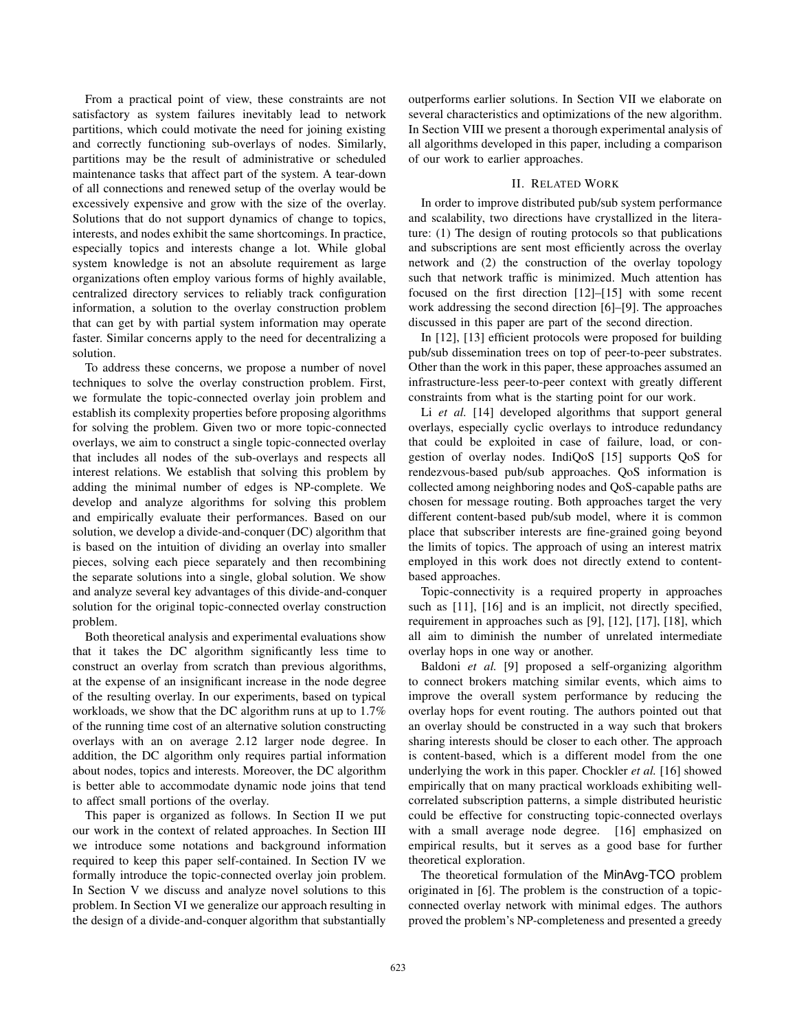From a practical point of view, these constraints are not satisfactory as system failures inevitably lead to network partitions, which could motivate the need for joining existing and correctly functioning sub-overlays of nodes. Similarly, partitions may be the result of administrative or scheduled maintenance tasks that affect part of the system. A tear-down of all connections and renewed setup of the overlay would be excessively expensive and grow with the size of the overlay. Solutions that do not support dynamics of change to topics, interests, and nodes exhibit the same shortcomings. In practice, especially topics and interests change a lot. While global system knowledge is not an absolute requirement as large organizations often employ various forms of highly available, centralized directory services to reliably track configuration information, a solution to the overlay construction problem that can get by with partial system information may operate faster. Similar concerns apply to the need for decentralizing a solution.

To address these concerns, we propose a number of novel techniques to solve the overlay construction problem. First, we formulate the topic-connected overlay join problem and establish its complexity properties before proposing algorithms for solving the problem. Given two or more topic-connected overlays, we aim to construct a single topic-connected overlay that includes all nodes of the sub-overlays and respects all interest relations. We establish that solving this problem by adding the minimal number of edges is NP-complete. We develop and analyze algorithms for solving this problem and empirically evaluate their performances. Based on our solution, we develop a divide-and-conquer (DC) algorithm that is based on the intuition of dividing an overlay into smaller pieces, solving each piece separately and then recombining the separate solutions into a single, global solution. We show and analyze several key advantages of this divide-and-conquer solution for the original topic-connected overlay construction problem.

Both theoretical analysis and experimental evaluations show that it takes the DC algorithm significantly less time to construct an overlay from scratch than previous algorithms, at the expense of an insignificant increase in the node degree of the resulting overlay. In our experiments, based on typical workloads, we show that the DC algorithm runs at up to 1.7% of the running time cost of an alternative solution constructing overlays with an on average 2.12 larger node degree. In addition, the DC algorithm only requires partial information about nodes, topics and interests. Moreover, the DC algorithm is better able to accommodate dynamic node joins that tend to affect small portions of the overlay.

This paper is organized as follows. In Section II we put our work in the context of related approaches. In Section III we introduce some notations and background information required to keep this paper self-contained. In Section IV we formally introduce the topic-connected overlay join problem. In Section V we discuss and analyze novel solutions to this problem. In Section VI we generalize our approach resulting in the design of a divide-and-conquer algorithm that substantially

outperforms earlier solutions. In Section VII we elaborate on several characteristics and optimizations of the new algorithm. In Section VIII we present a thorough experimental analysis of all algorithms developed in this paper, including a comparison of our work to earlier approaches.

## II. RELATED WORK

In order to improve distributed pub/sub system performance and scalability, two directions have crystallized in the literature: (1) The design of routing protocols so that publications and subscriptions are sent most efficiently across the overlay network and (2) the construction of the overlay topology such that network traffic is minimized. Much attention has focused on the first direction [12]–[15] with some recent work addressing the second direction [6]–[9]. The approaches discussed in this paper are part of the second direction.

In [12], [13] efficient protocols were proposed for building pub/sub dissemination trees on top of peer-to-peer substrates. Other than the work in this paper, these approaches assumed an infrastructure-less peer-to-peer context with greatly different constraints from what is the starting point for our work.

Li *et al.* [14] developed algorithms that support general overlays, especially cyclic overlays to introduce redundancy that could be exploited in case of failure, load, or congestion of overlay nodes. IndiQoS [15] supports QoS for rendezvous-based pub/sub approaches. QoS information is collected among neighboring nodes and QoS-capable paths are chosen for message routing. Both approaches target the very different content-based pub/sub model, where it is common place that subscriber interests are fine-grained going beyond the limits of topics. The approach of using an interest matrix employed in this work does not directly extend to contentbased approaches.

Topic-connectivity is a required property in approaches such as [11], [16] and is an implicit, not directly specified, requirement in approaches such as [9], [12], [17], [18], which all aim to diminish the number of unrelated intermediate overlay hops in one way or another.

Baldoni *et al.* [9] proposed a self-organizing algorithm to connect brokers matching similar events, which aims to improve the overall system performance by reducing the overlay hops for event routing. The authors pointed out that an overlay should be constructed in a way such that brokers sharing interests should be closer to each other. The approach is content-based, which is a different model from the one underlying the work in this paper. Chockler *et al.* [16] showed empirically that on many practical workloads exhibiting wellcorrelated subscription patterns, a simple distributed heuristic could be effective for constructing topic-connected overlays with a small average node degree. [16] emphasized on empirical results, but it serves as a good base for further theoretical exploration.

The theoretical formulation of the MinAvg-TCO problem originated in [6]. The problem is the construction of a topicconnected overlay network with minimal edges. The authors proved the problem's NP-completeness and presented a greedy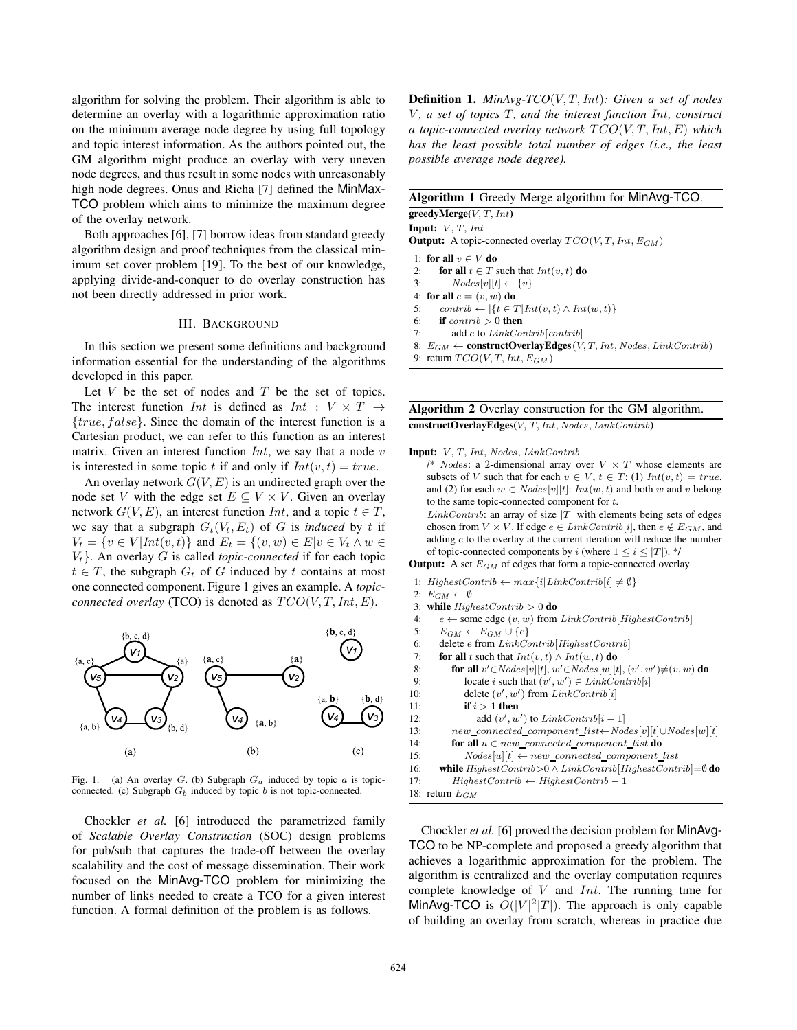algorithm for solving the problem. Their algorithm is able to determine an overlay with a logarithmic approximation ratio on the minimum average node degree by using full topology and topic interest information. As the authors pointed out, the GM algorithm might produce an overlay with very uneven node degrees, and thus result in some nodes with unreasonably high node degrees. Onus and Richa [7] defined the MinMax-TCO problem which aims to minimize the maximum degree of the overlay network.

Both approaches [6], [7] borrow ideas from standard greedy algorithm design and proof techniques from the classical minimum set cover problem [19]. To the best of our knowledge, applying divide-and-conquer to do overlay construction has not been directly addressed in prior work.

## III. BACKGROUND

In this section we present some definitions and background information essential for the understanding of the algorithms developed in this paper.

Let  $V$  be the set of nodes and  $T$  be the set of topics. The interest function Int is defined as Int :  $V \times T \rightarrow$  ${true, false}$ . Since the domain of the interest function is a Cartesian product, we can refer to this function as an interest matrix. Given an interest function  $Int$ , we say that a node  $v$ is interested in some topic t if and only if  $Int(v, t) = true$ .

An overlay network  $G(V, E)$  is an undirected graph over the node set V with the edge set  $E \subseteq V \times V$ . Given an overlay network  $G(V, E)$ , an interest function Int, and a topic  $t \in T$ , we say that a subgraph  $G_t(V_t, E_t)$  of G is *induced* by t if  $V_t = \{v \in V | Int(v, t)\}\$ and  $E_t = \{(v, w) \in E | v \in V_t \land w \in$  $V_t$ . An overlay G is called *topic-connected* if for each topic  $t \in T$ , the subgraph  $G_t$  of G induced by t contains at most one connected component. Figure 1 gives an example. A *topicconnected overlay* (TCO) is denoted as  $TCO(V, T, Int, E)$ .



Fig. 1. (a) An overlay G. (b) Subgraph  $G_a$  induced by topic a is topicconnected. (c) Subgraph  $G_b$  induced by topic b is not topic-connected.

Chockler *et al.* [6] introduced the parametrized family of *Scalable Overlay Construction* (SOC) design problems for pub/sub that captures the trade-off between the overlay scalability and the cost of message dissemination. Their work focused on the MinAvg-TCO problem for minimizing the number of links needed to create a TCO for a given interest function. A formal definition of the problem is as follows.

**Definition 1.** *MinAvg-TCO*(V, T,Int)*: Given a set of nodes* V *, a set of topics* T*, and the interest function* Int*, construct a topic-connected overlay network*  $TCO(V, T, Int, E)$  *which has the least possible total number of edges (i.e., the least possible average node degree).*

## **Algorithm 1** Greedy Merge algorithm for MinAvg-TCO.

**greedyMerge(**V, T, Int**) Input:**  $V, T, Int$ **Output:** A topic-connected overlay  $TCO(V, T, Int, E_{GM})$ 1: **for** all  $v \in V$  **do** 2: **for all**  $t \in T$  such that  $Int(v, t)$  **do** 3:  $Nodes[v][t] \leftarrow \{v\}$ 4: **for all**  $e = (v, w)$  **do** 5: contrib  $\leftarrow |\{t \in T | Int(v, t) \wedge Int(w, t)\}|$ 6: **if**  $\text{const}$   $\text{right} > 0$  **then** 7: add e to LinkContrib[contrib] 8:  $E_{GM} \leftarrow$  **constructOverlayEdges** (V, T, Int, Nodes, LinkContrib) 9: return  $TCO(V, T, Int, E_{GM})$ 

**Algorithm 2** Overlay construction for the GM algorithm. **constructOverlayEdges(**V, T, Int, Nodes,LinkContrib**)**

**Input:** V , T, Int, Nodes, LinkContrib

/\* Nodes: a 2-dimensional array over  $V \times T$  whose elements are subsets of V such that for each  $v \in V$ ,  $t \in T$ : (1)  $Int(v, t) = true$ , and (2) for each  $w \in Nodes[v][t]$ :  $Int(w, t)$  and both w and v belong to the same topic-connected component for  $t$ .

 $LinkContrib:$  an array of size  $|T|$  with elements being sets of edges chosen from  $V\times V.$  If edge  $e\in LinkContrib[i],$  then  $e\notin E_{GM},$  and adding e to the overlay at the current iteration will reduce the number of topic-connected components by i (where  $1 \le i \le |T|$ ). \*/

**Output:** A set  $E_{GM}$  of edges that form a topic-connected overlay

- 1:  $HigherContrib \leftarrow max\{i|LinkContrib[i] \neq \emptyset\}$
- 2:  $E_{GM} \leftarrow \emptyset$
- 3: **while** HighestContrib > 0 **do**
- 4:  $e \leftarrow$  some edge  $(v, w)$  from LinkContrib[HighestContrib]
- 5:  $E_{GM} \leftarrow E_{GM} \cup \{e\}$
- 6: delete e from LinkContrib[HighestContrib]
- 7: **for all** t such that  $Int(v, t) \wedge Int(w, t)$  **do**
- 8: **for all**  $v' \in Nodes[v][t], w' \in Nodes[w][t], (v', w') \neq (v, w)$  **do** 9: locate *i* such that  $(v', w') \in LinkContrib[i]$ 10: delete  $(v', w')$  from  $LinkContrib[i]$ 11: **if**  $i > 1$  **then** 12: add  $(v', w')$  to  $LinkContrib[i-1]$ 13: new connected component list←Nodes[v][t]∪Nodes[w][t] 14: **for all**  $u \in new\_connected\_component\_list$  **do**  $15: \hspace{3cm} Nodes[u][t] \leftarrow new\_connected\_component\_list$ 16: **while** HighestContrib>0 ∧ LinkContrib[HighestContrib]=∅ **do** 17: HighestContrib ← HighestContrib – 1 18: return  $E_{GM}$

Chockler *et al.* [6] proved the decision problem for MinAvg-TCO to be NP-complete and proposed a greedy algorithm that achieves a logarithmic approximation for the problem. The algorithm is centralized and the overlay computation requires complete knowledge of  $V$  and  $Int$ . The running time for MinAvg-TCO is  $O(|V|^2|T|)$ . The approach is only capable of building an overlay from scratch, whereas in practice due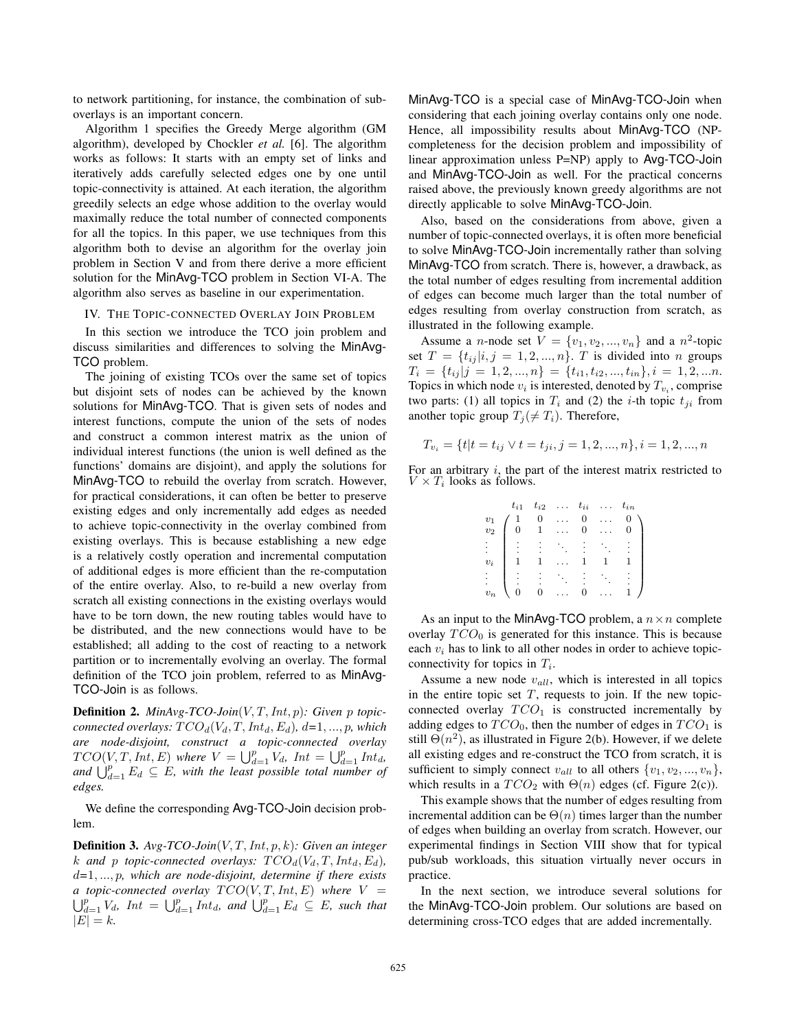to network partitioning, for instance, the combination of suboverlays is an important concern.

Algorithm 1 specifies the Greedy Merge algorithm (GM algorithm), developed by Chockler *et al.* [6]. The algorithm works as follows: It starts with an empty set of links and iteratively adds carefully selected edges one by one until topic-connectivity is attained. At each iteration, the algorithm greedily selects an edge whose addition to the overlay would maximally reduce the total number of connected components for all the topics. In this paper, we use techniques from this algorithm both to devise an algorithm for the overlay join problem in Section V and from there derive a more efficient solution for the MinAvg-TCO problem in Section VI-A. The algorithm also serves as baseline in our experimentation.

## IV. THE TOPIC-CONNECTED OVERLAY JOIN PROBLEM

In this section we introduce the TCO join problem and discuss similarities and differences to solving the MinAvg-TCO problem.

The joining of existing TCOs over the same set of topics but disjoint sets of nodes can be achieved by the known solutions for MinAvg-TCO. That is given sets of nodes and interest functions, compute the union of the sets of nodes and construct a common interest matrix as the union of individual interest functions (the union is well defined as the functions' domains are disjoint), and apply the solutions for MinAvg-TCO to rebuild the overlay from scratch. However, for practical considerations, it can often be better to preserve existing edges and only incrementally add edges as needed to achieve topic-connectivity in the overlay combined from existing overlays. This is because establishing a new edge is a relatively costly operation and incremental computation of additional edges is more efficient than the re-computation of the entire overlay. Also, to re-build a new overlay from scratch all existing connections in the existing overlays would have to be torn down, the new routing tables would have to be distributed, and the new connections would have to be established; all adding to the cost of reacting to a network partition or to incrementally evolving an overlay. The formal definition of the TCO join problem, referred to as MinAvg-TCO-Join is as follows.

**Definition 2.** *MinAvg-TCO-Join*( $V, T, Int, p$ ): *Given* p *topicconnected overlays:*  $TCO_d(V_d, T, Int_d, E_d)$ ,  $d=1, ..., p$ , which *are node-disjoint, construct a topic-connected overlay*  $TCO(V, T, Int, E)$  where  $V = \bigcup_{d=1}^{p} V_d$ ,  $Int = \bigcup_{d=1}^{p} Int_d$ , and  $\bigcup_{d=1}^{p} E_d \subseteq E$ , with the least possible total number of *edges.*

We define the corresponding Avg-TCO-Join decision problem.

**Definition 3.**  $Avg\text{-}TCO\text{-}Join(V,T,Int,p,k)$ *: Given an integer* k and p *topic-connected overlays:*  $TCO_d(V_d, T, Int_d, E_d)$ , d*=*1, ..., p*, which are node-disjoint, determine if there exists a topic-connected overlay*  $TCO(V, T, Int, E)$  *where*  $V =$  $\bigcup_{d=1}^p V_d$ ,  $Int = \bigcup_{d=1}^p Int_d$ , and  $\bigcup_{d=1}^p E_d \subseteq E$ , such that  $|E| = k$ .

MinAvg-TCO is a special case of MinAvg-TCO-Join when considering that each joining overlay contains only one node. Hence, all impossibility results about MinAvg-TCO (NPcompleteness for the decision problem and impossibility of linear approximation unless P=NP) apply to Avg-TCO-Join and MinAvg-TCO-Join as well. For the practical concerns raised above, the previously known greedy algorithms are not directly applicable to solve MinAvg-TCO-Join.

Also, based on the considerations from above, given a number of topic-connected overlays, it is often more beneficial to solve MinAvg-TCO-Join incrementally rather than solving MinAvg-TCO from scratch. There is, however, a drawback, as the total number of edges resulting from incremental addition of edges can become much larger than the total number of edges resulting from overlay construction from scratch, as illustrated in the following example.

Assume a *n*-node set  $V = \{v_1, v_2, ..., v_n\}$  and a  $n^2$ -topic set  $T = \{t_{ij} | i, j = 1, 2, ..., n\}$ . T is divided into n groups  $T_i = \{t_{ij} | j = 1, 2, ..., n\} = \{t_{i1}, t_{i2}, ..., t_{in}\}, i = 1, 2, ...n.$ Topics in which node  $v_i$  is interested, denoted by  $T_{v_i}$ , comprise two parts: (1) all topics in  $T_i$  and (2) the *i*-th topic  $t_{ji}$  from another topic group  $T_i (\neq T_i)$ . Therefore,

$$
T_{v_i} = \{t | t = t_{ij} \lor t = t_{ji}, j = 1, 2, ..., n\}, i = 1, 2, ..., n
$$

For an arbitrary  $i$ , the part of the interest matrix restricted to  $V \times T_i$  looks as follows.

|                  | $t_{i1}$ | $t_{i2}$ | $t_{ii}$ | $t_{in}$ |
|------------------|----------|----------|----------|----------|
| $\overline{v}_1$ |          |          | 0        |          |
| $v_2$            | 0        |          | 0        | U        |
|                  |          |          |          |          |
|                  |          |          |          |          |
| $v_i$            |          |          |          |          |
|                  |          |          |          |          |
|                  |          |          |          |          |
| $v_n$            |          |          | O        |          |

As an input to the MinAvg-TCO problem, a  $n \times n$  complete overlay  $TCO<sub>0</sub>$  is generated for this instance. This is because each  $v_i$  has to link to all other nodes in order to achieve topicconnectivity for topics in  $T_i$ .

Assume a new node  $v_{all}$ , which is interested in all topics in the entire topic set  $T$ , requests to join. If the new topicconnected overlay  $TCO_1$  is constructed incrementally by adding edges to  $TCO_0$ , then the number of edges in  $TCO_1$  is still  $\Theta(n^2)$ , as illustrated in Figure 2(b). However, if we delete all existing edges and re-construct the TCO from scratch, it is sufficient to simply connect  $v_{all}$  to all others  $\{v_1, v_2, ..., v_n\}$ , which results in a  $TCO_2$  with  $\Theta(n)$  edges (cf. Figure 2(c)).

This example shows that the number of edges resulting from incremental addition can be  $\Theta(n)$  times larger than the number of edges when building an overlay from scratch. However, our experimental findings in Section VIII show that for typical pub/sub workloads, this situation virtually never occurs in practice.

In the next section, we introduce several solutions for the MinAvg-TCO-Join problem. Our solutions are based on determining cross-TCO edges that are added incrementally.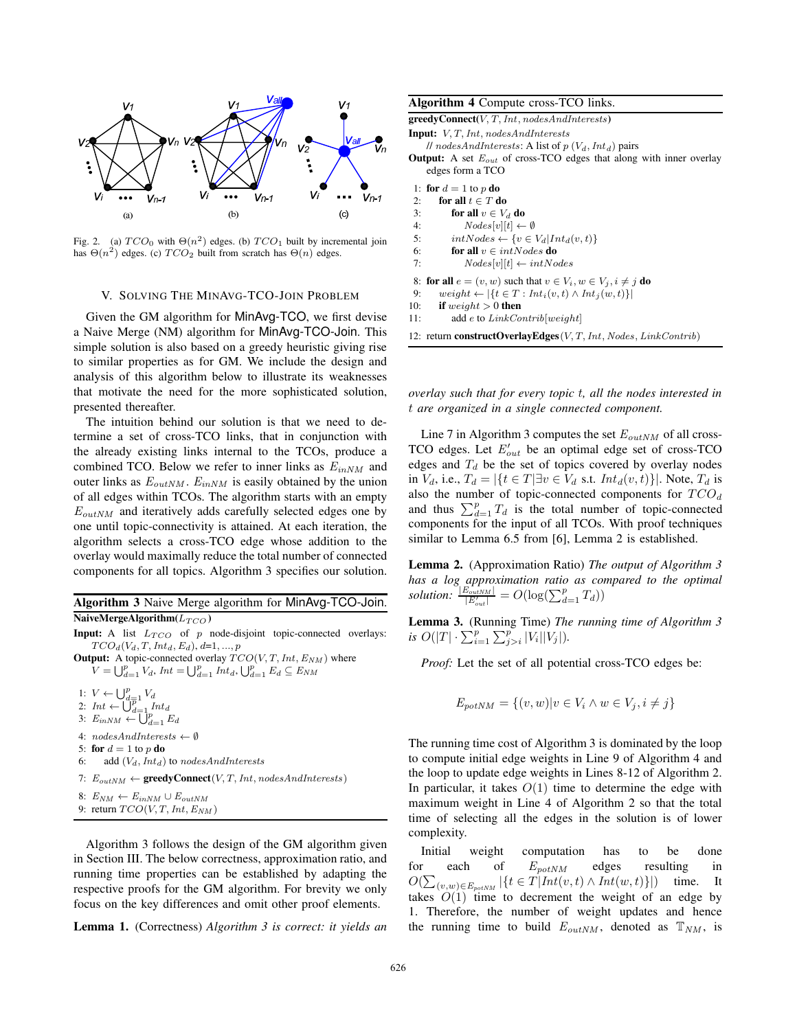

Fig. 2. (a)  $TCO_0$  with  $\Theta(n^2)$  edges. (b)  $TCO_1$  built by incremental join has  $\Theta(n^2)$  edges. (c)  $TCO_2$  built from scratch has  $\Theta(n)$  edges.

## V. SOLVING THE MINAVG-TCO-JOIN PROBLEM

Given the GM algorithm for MinAvg-TCO, we first devise a Naive Merge (NM) algorithm for MinAvg-TCO-Join. This simple solution is also based on a greedy heuristic giving rise to similar properties as for GM. We include the design and analysis of this algorithm below to illustrate its weaknesses that motivate the need for the more sophisticated solution, presented thereafter.

The intuition behind our solution is that we need to determine a set of cross-TCO links, that in conjunction with the already existing links internal to the TCOs, produce a combined TCO. Below we refer to inner links as  $E_{inNM}$  and outer links as  $E_{outNM}$ .  $E_{inNM}$  is easily obtained by the union of all edges within TCOs. The algorithm starts with an empty  $E_{outNM}$  and iteratively adds carefully selected edges one by one until topic-connectivity is attained. At each iteration, the algorithm selects a cross-TCO edge whose addition to the overlay would maximally reduce the total number of connected components for all topics. Algorithm 3 specifies our solution.

# **Algorithm 3** Naive Merge algorithm for MinAvg-TCO-Join. **NaiveMergeAlgorithm**( $L_{TCO}$ )

**Input:** A list  $L_{TCO}$  of p node-disjoint topic-connected overlays:  $TCO_d(V_d, T, Int_d, E_d), d=1, ..., p$ 

**Output:** A topic-connected overlay  $TCO(V, T, Int, E_{NM})$  where  $V = \bigcup_{d=1}^{p} V_d$ ,  $Int = \bigcup_{d=1}^{p} Int_d$ ,  $\bigcup_{d=1}^{p} E_d \subseteq E_{NM}$ 

1:  $V \leftarrow \bigcup_{d=1}^{p} V_d$ <br>2:  $Int \leftarrow \bigcup_{d=1}^{p} Int_d$ 3:  $E_{inNM} \leftarrow \bigcup_{d=1}^{n} E_d$ 4:  $nodesAndInterests \leftarrow \emptyset$ 5: **for**  $d = 1$  to p **do** 6: add  $(V_d, Int_d)$  to nodesAndInterests 7:  $E_{outNM} \leftarrow \text{greedyConnect}(V, T, Int, nodesAndInterests)$ 8:  $E_{NM} \leftarrow E_{inNM} \cup E_{outNM}$ 

9: return  $TCO(V, T, Int, E_{NM})$ 

Algorithm 3 follows the design of the GM algorithm given in Section III. The below correctness, approximation ratio, and running time properties can be established by adapting the respective proofs for the GM algorithm. For brevity we only focus on the key differences and omit other proof elements.

**Lemma 1.** (Correctness) *Algorithm 3 is correct: it yields an*

## **Algorithm 4** Compute cross-TCO links.

**greedyConnect(**V, T, Int, nodesAndInterests**)**

```
Input: V, T, Int, nodesAndInterests
```
// nodesAndInterests: A list of  $p(V_d, Int_d)$  pairs

**Output:** A set  $E_{out}$  of cross-TCO edges that along with inner overlay edges form a TCO

```
1: for d = 1 to p do
```
- 2: **for all**  $t \in T$  **do**<br>3: **for all**  $v \in V$
- for all  $v \in V_d$  do
- 4:  $Nodes[v][t] \leftarrow \emptyset$
- 5:  $intNodes \leftarrow \{v \in V_d | Int_d(v, t)\}$
- 6: **for all**  $v \in intNodes$  **do**
- 7:  $Nodes[v][t] \leftarrow intNodes$
- 8: **for all**  $e = (v, w)$  such that  $v \in V_i$ ,  $w \in V_j$ ,  $i \neq j$  **do**
- 9: weight  $\leftarrow |\{t \in T : Int_i(v, t) \land Int_j(w, t)\}|$ <br>10: **if** weight > 0 **then**
- if  $weight > 0$  then
- 11: add e to LinkContrib[weight]

12: return **constructOverlayEdges**(V, T, Int, Nodes, LinkContrib)

*overlay such that for every topic* t*, all the nodes interested in* t *are organized in a single connected component.*

Line 7 in Algorithm 3 computes the set  $E_{outNM}$  of all cross-TCO edges. Let  $E'_{out}$  be an optimal edge set of cross-TCO edges and  $T_d$  be the set of topics covered by overlay nodes in  $V_d$ , i.e.,  $T_d = |\{t \in T | \exists v \in V_d \text{ s.t. } Int_d(v, t)\}|$ . Note,  $T_d$  is also the number of topic-connected components for  $TCO_d$ and thus  $\sum_{d=1}^{p} T_d$  is the total number of topic-connected components for the input of all TCOs. With proof techniques similar to Lemma 6.5 from [6], Lemma 2 is established.

**Lemma 2.** (Approximation Ratio) *The output of Algorithm 3 has a log approximation ratio as compared to the optimal solution:*  $\frac{|E_{outNM}|}{|E_{out}|} = O(\log(\sum_{d=1}^p T_d))$ 

**Lemma 3.** (Running Time) *The running time of Algorithm 3 is*  $O(|T| \cdot \sum_{i=1}^p \sum_{j>i}^p |V_i||V_j|)$ *.* 

*Proof:* Let the set of all potential cross-TCO edges be:

$$
E_{potNM} = \{(v, w)| v \in V_i \land w \in V_j, i \neq j\}
$$

The running time cost of Algorithm 3 is dominated by the loop to compute initial edge weights in Line 9 of Algorithm 4 and the loop to update edge weights in Lines 8-12 of Algorithm 2. In particular, it takes  $O(1)$  time to determine the edge with maximum weight in Line 4 of Algorithm 2 so that the total time of selecting all the edges in the solution is of lower complexity.

Initial weight computation has to be done for each of  $E_{potNM}$  edges resulting in  $O(\sum_{(v,w)\in E_{potNM}} |\{t \in T | Int(v,t) \wedge Int(w,t)\}|)$  time. It takes  $O(1)$  time to decrement the weight of an edge by 1. Therefore, the number of weight updates and hence the running time to build  $E_{outNM}$ , denoted as  $\mathbb{T}_{NM}$ , is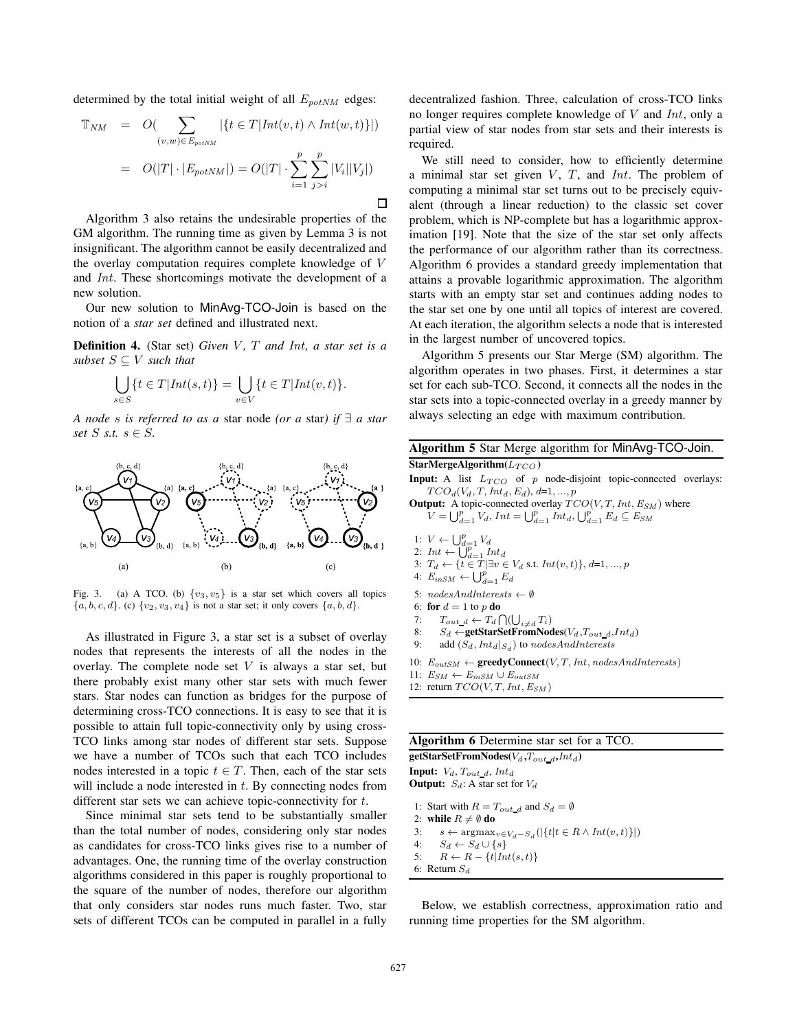determined by the total initial weight of all  $E_{potNM}$  edges:

$$
\mathbb{T}_{NM} = O\left(\sum_{(v,w)\in E_{potNM}} |\{t \in T | Int(v,t) \land Int(w,t)\}| \right)
$$

$$
= O(|T| \cdot |E_{potNM}|) = O(|T| \cdot \sum_{i=1}^{p} \sum_{j>i}^{p} |V_i||V_j|)
$$

Algorithm 3 also retains the undesirable properties of the GM algorithm. The running time as given by Lemma 3 is not insignificant. The algorithm cannot be easily decentralized and the overlay computation requires complete knowledge of V and Int. These shortcomings motivate the development of a new solution.

Our new solution to MinAvg-TCO-Join is based on the notion of a *star set* defined and illustrated next.

**Definition 4.** (Star set) *Given* V *,* T *and* Int*, a star set is a subset*  $S \subseteq V$  *such that* 

$$
\bigcup_{s\in S}\{t\in T|Int(s,t)\}=\bigcup_{v\in V}\{t\in T|Int(v,t)\}.
$$

*A node s* is referred to as a star node (or a star) if  $\exists$  *a star set*  $S$  *s.t.*  $s \in S$ *.* 



Fig. 3. (a) A TCO. (b)  $\{v_3, v_5\}$  is a star set which covers all topics  ${a, b, c, d}$ . (c)  ${v_2, v_3, v_4}$  is not a star set; it only covers  ${a, b, d}$ .

As illustrated in Figure 3, a star set is a subset of overlay nodes that represents the interests of all the nodes in the overlay. The complete node set  $V$  is always a star set, but there probably exist many other star sets with much fewer stars. Star nodes can function as bridges for the purpose of determining cross-TCO connections. It is easy to see that it is possible to attain full topic-connectivity only by using cross-TCO links among star nodes of different star sets. Suppose we have a number of TCOs such that each TCO includes nodes interested in a topic  $t \in T$ . Then, each of the star sets will include a node interested in  $t$ . By connecting nodes from different star sets we can achieve topic-connectivity for t.

Since minimal star sets tend to be substantially smaller than the total number of nodes, considering only star nodes as candidates for cross-TCO links gives rise to a number of advantages. One, the running time of the overlay construction algorithms considered in this paper is roughly proportional to the square of the number of nodes, therefore our algorithm that only considers star nodes runs much faster. Two, star sets of different TCOs can be computed in parallel in a fully decentralized fashion. Three, calculation of cross-TCO links no longer requires complete knowledge of  $V$  and  $Int$ , only a partial view of star nodes from star sets and their interests is required.

We still need to consider, how to efficiently determine a minimal star set given  $V$ ,  $T$ , and  $Int$ . The problem of computing a minimal star set turns out to be precisely equivalent (through a linear reduction) to the classic set cover problem, which is NP-complete but has a logarithmic approximation [19]. Note that the size of the star set only affects the performance of our algorithm rather than its correctness. Algorithm 6 provides a standard greedy implementation that attains a provable logarithmic approximation. The algorithm starts with an empty star set and continues adding nodes to the star set one by one until all topics of interest are covered. At each iteration, the algorithm selects a node that is interested in the largest number of uncovered topics.

Algorithm 5 presents our Star Merge (SM) algorithm. The algorithm operates in two phases. First, it determines a star set for each sub-TCO. Second, it connects all the nodes in the star sets into a topic-connected overlay in a greedy manner by always selecting an edge with maximum contribution.

# **Algorithm 5** Star Merge algorithm for MinAvg-TCO-Join.  $StarMergeAlgorithm(L_{TCO})$

- **Input:** A list  $L_{TCO}$  of p node-disjoint topic-connected overlays:  $TCO_d(V_d, T, Int_d, E_d), d=1, ..., p$
- **Output:** A topic-connected overlay  $TCO(V, T, Int, E_{SM})$  where  $V = \bigcup_{d=1}^{p} V_d$ ,  $Int = \bigcup_{d=1}^{p} Int_d$ ,  $\bigcup_{d=1}^{p} E_d \subseteq E_{SM}$
- 
- 1:  $V \leftarrow \bigcup_{d=1}^{p} V_d$ <br>2:  $Int \leftarrow \bigcup_{d=1}^{p} Int_d$
- 3:  $T_d$  ← { $t \in \overline{T}$   $\exists v \in V_d$  s.t.  $Int(v, t)$ },  $d=1, ..., p$
- 4:  $E_{inSM} \leftarrow \bigcup_{d=1}^{p} E_d$
- 5:  $nodesAndInterests \leftarrow \emptyset$
- 6: **for**  $d = 1$  to  $p$  **do**
- 7:  $T_{out\_d} \leftarrow T_d \bigcap (\bigcup_{i \neq d} T_i)$
- 8:  $S_d \leftarrow \text{getStarSetFromNodes}(V_d, T_{out_d}, Int_d)$
- 9: add  $(S_d, Int_d|_{S_d})$  to nodesAndInterests
- 10:  $E_{outSM} \leftarrow \text{greedyConnect}(V, T, Int, nodesAndInterest)$
- 11:  $E_{SM} \leftarrow E_{inSM} \cup E_{outSM}$
- 12: return  $TCO(V, T, Int, E_{SM})$

# **Algorithm 6** Determine star set for a TCO.  $ext{StartSetFromNodes}(V_d, T_{out_d}, Int_d)$

**Input:**  $V_d$ ,  $T_{out\_d}$ ,  $Int_d$ **Output:**  $S_d$ : A star set for  $V_d$ 

1: Start with  $R = T_{out_d}$  and  $S_d = \emptyset$ 2: **while**  $R \neq \emptyset$  **do**<br>3:  $s \leftarrow \text{argmax}$ 3:  $s \leftarrow \argmax_{v \in V_d - S_d} (|\{t | t \in R \land Int(v, t)\}|)$ 4:  $S_d \leftarrow S_d \cup \{s\}$ 5:  $R \leftarrow R - \{t | Int(s, t)\}$ 6: Return  $S_d$ 

Below, we establish correctness, approximation ratio and running time properties for the SM algorithm.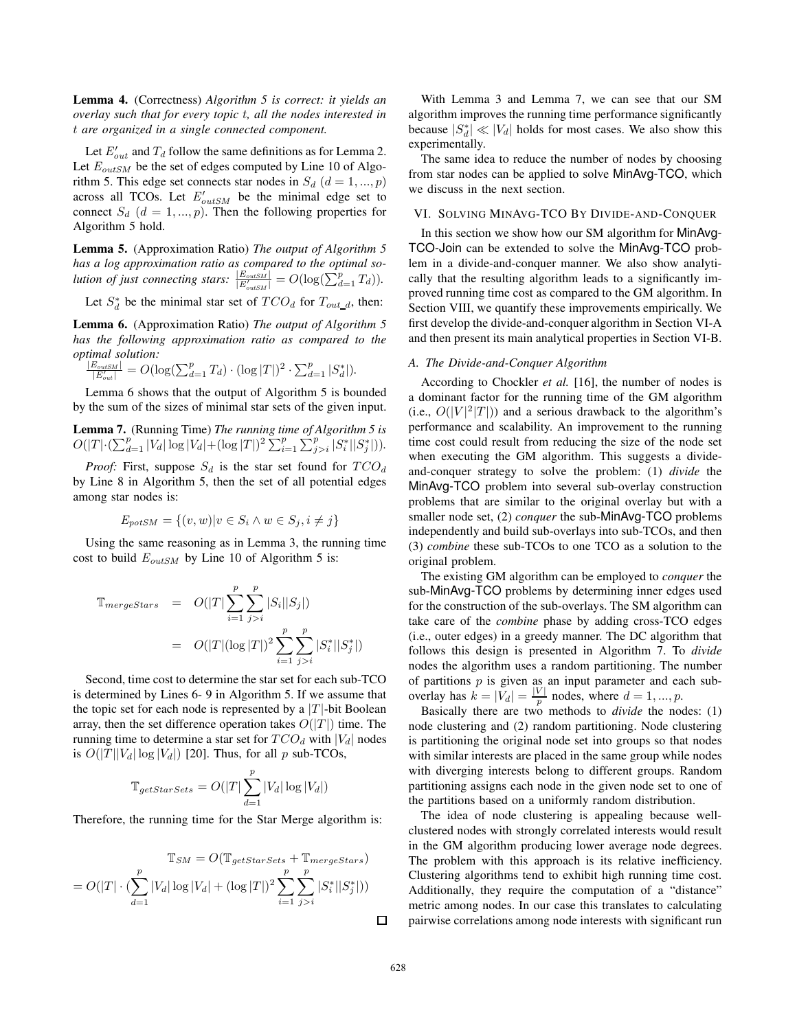**Lemma 4.** (Correctness) *Algorithm 5 is correct: it yields an overlay such that for every topic* t*, all the nodes interested in* t *are organized in a single connected component.*

Let  $E'_{out}$  and  $T_d$  follow the same definitions as for Lemma 2. Let  $E_{outSM}$  be the set of edges computed by Line 10 of Algorithm 5. This edge set connects star nodes in  $S_d$   $(d = 1, ..., p)$ across all TCOs. Let  $E'_{outSM}$  be the minimal edge set to connect  $S_d$   $(d = 1, ..., p)$ . Then the following properties for Algorithm 5 hold.

**Lemma 5.** (Approximation Ratio) *The output of Algorithm 5 has a log approximation ratio as compared to the optimal solution of just connecting stars:*  $\frac{|E_{outSM}|}{|E_{outSM}|} = O(\log(\sum_{d=1}^{p} T_d)).$ 

Let  $S_d^*$  be the minimal star set of  $TCO_d$  for  $T_{out\_d}$ , then:

**Lemma 6.** (Approximation Ratio) *The output of Algorithm 5 has the following approximation ratio as compared to the optimal solution:*

$$
\frac{|E_{outSM}|}{|E_{out}'} = O(\log(\sum_{d=1}^p T_d) \cdot (\log |T|)^2 \cdot \sum_{d=1}^p |S_d^*|).
$$

Lemma 6 shows that the output of Algorithm 5 is bounded by the sum of the sizes of minimal star sets of the given input.

**Lemma 7.** (Running Time) *The running time of Algorithm 5 is*  $O(|T| \cdot (\sum_{d=1}^p |V_d| \log |V_d| + (\log |T|)^2 \sum_{i=1}^p \sum_{j>i}^p |S_i^*| |S_j^*|)).$ 

*Proof:* First, suppose  $S_d$  is the star set found for  $TCO_d$ by Line 8 in Algorithm 5, then the set of all potential edges among star nodes is:

$$
E_{potSM} = \{(v, w)|v \in S_i \land w \in S_j, i \neq j\}
$$

Using the same reasoning as in Lemma 3, the running time cost to build  $E_{outSM}$  by Line 10 of Algorithm 5 is:

$$
\mathbb{T}_{mergeStars} = O(|T| \sum_{i=1}^{p} \sum_{j>i}^{p} |S_i||S_j|)
$$
  
=  $O(|T|(\log |T|)^2 \sum_{i=1}^{p} \sum_{j>i}^{p} |S_i^*||S_j^*|)$ 

Second, time cost to determine the star set for each sub-TCO is determined by Lines 6- 9 in Algorithm 5. If we assume that the topic set for each node is represented by a  $|T|$ -bit Boolean array, then the set difference operation takes  $O(|T|)$  time. The running time to determine a star set for  $TCO_d$  with  $|V_d|$  nodes is  $O(|T||V_d|\log|V_d|)$  [20]. Thus, for all p sub-TCOs,

$$
\mathbb{T}_{getStarSets} = O(|T| \sum_{d=1}^{p} |V_d| \log |V_d|)
$$

Therefore, the running time for the Star Merge algorithm is:

$$
\mathbb{T}_{SM} = O(\mathbb{T}_{getStarSets} + \mathbb{T}_{mergeStarS})
$$
  
=  $O(|T| \cdot (\sum_{d=1}^{p} |V_d| \log |V_d| + (\log |T|)^2 \sum_{i=1}^{p} \sum_{j>i}^{p} |S_i^*| |S_j^*|))$ 

With Lemma 3 and Lemma 7, we can see that our SM algorithm improves the running time performance significantly because  $|S_d^*| \ll |V_d|$  holds for most cases. We also show this experimentally.

The same idea to reduce the number of nodes by choosing from star nodes can be applied to solve MinAvg-TCO, which we discuss in the next section.

# VI. SOLVING MINAVG-TCO BY DIVIDE-AND-CONQUER

In this section we show how our SM algorithm for MinAvg-TCO-Join can be extended to solve the MinAvg-TCO problem in a divide-and-conquer manner. We also show analytically that the resulting algorithm leads to a significantly improved running time cost as compared to the GM algorithm. In Section VIII, we quantify these improvements empirically. We first develop the divide-and-conquer algorithm in Section VI-A and then present its main analytical properties in Section VI-B.

## *A. The Divide-and-Conquer Algorithm*

According to Chockler *et al.* [16], the number of nodes is a dominant factor for the running time of the GM algorithm (i.e.,  $O(|V|^2|T|)$ ) and a serious drawback to the algorithm's performance and scalability. An improvement to the running time cost could result from reducing the size of the node set when executing the GM algorithm. This suggests a divideand-conquer strategy to solve the problem: (1) *divide* the MinAvg-TCO problem into several sub-overlay construction problems that are similar to the original overlay but with a smaller node set, (2) *conquer* the sub-MinAvg-TCO problems independently and build sub-overlays into sub-TCOs, and then (3) *combine* these sub-TCOs to one TCO as a solution to the original problem.

The existing GM algorithm can be employed to *conquer* the sub-MinAvg-TCO problems by determining inner edges used for the construction of the sub-overlays. The SM algorithm can take care of the *combine* phase by adding cross-TCO edges (i.e., outer edges) in a greedy manner. The DC algorithm that follows this design is presented in Algorithm 7. To *divide* nodes the algorithm uses a random partitioning. The number of partitions  $p$  is given as an input parameter and each suboverlay has  $k = |V_d| = \frac{|V|}{p}$  nodes, where  $d = 1, ..., p$ .

Basically there are two methods to *divide* the nodes: (1) node clustering and (2) random partitioning. Node clustering is partitioning the original node set into groups so that nodes with similar interests are placed in the same group while nodes with diverging interests belong to different groups. Random partitioning assigns each node in the given node set to one of the partitions based on a uniformly random distribution.

The idea of node clustering is appealing because wellclustered nodes with strongly correlated interests would result in the GM algorithm producing lower average node degrees. The problem with this approach is its relative inefficiency. Clustering algorithms tend to exhibit high running time cost. Additionally, they require the computation of a "distance" metric among nodes. In our case this translates to calculating pairwise correlations among node interests with significant run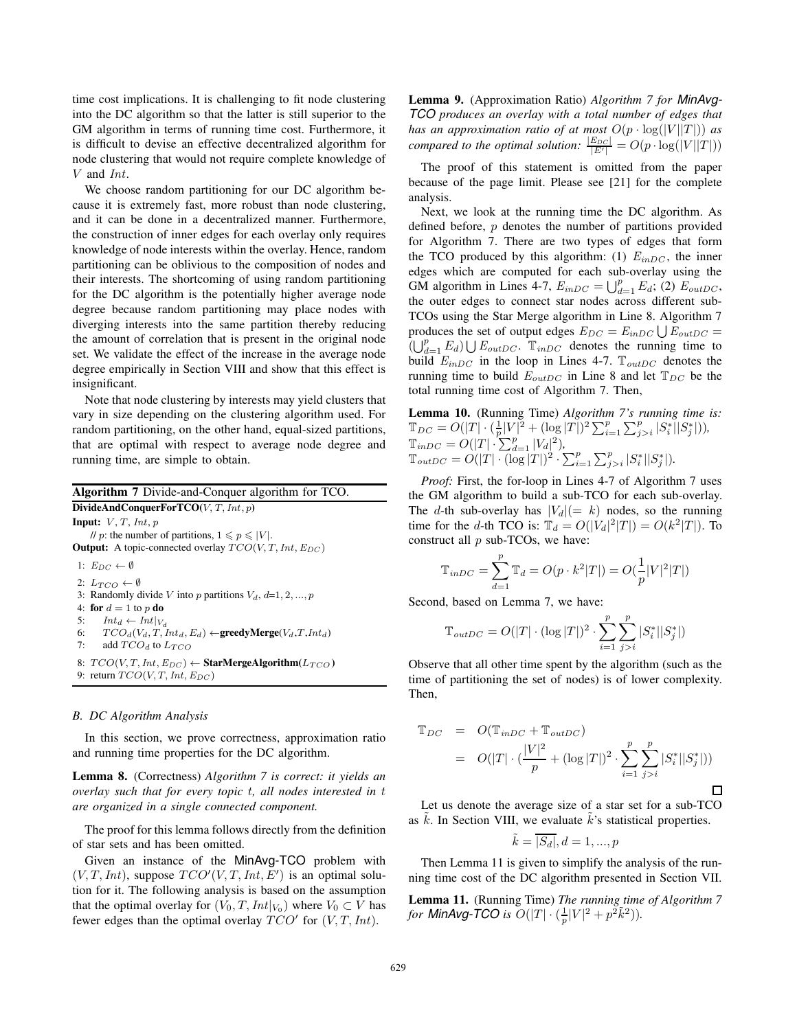time cost implications. It is challenging to fit node clustering into the DC algorithm so that the latter is still superior to the GM algorithm in terms of running time cost. Furthermore, it is difficult to devise an effective decentralized algorithm for node clustering that would not require complete knowledge of V and Int.

We choose random partitioning for our DC algorithm because it is extremely fast, more robust than node clustering, and it can be done in a decentralized manner. Furthermore, the construction of inner edges for each overlay only requires knowledge of node interests within the overlay. Hence, random partitioning can be oblivious to the composition of nodes and their interests. The shortcoming of using random partitioning for the DC algorithm is the potentially higher average node degree because random partitioning may place nodes with diverging interests into the same partition thereby reducing the amount of correlation that is present in the original node set. We validate the effect of the increase in the average node degree empirically in Section VIII and show that this effect is insignificant.

Note that node clustering by interests may yield clusters that vary in size depending on the clustering algorithm used. For random partitioning, on the other hand, equal-sized partitions, that are optimal with respect to average node degree and running time, are simple to obtain.

| <b>Algorithm 7</b> Divide-and-Conquer algorithm for TCO.                    |  |  |  |  |  |
|-----------------------------------------------------------------------------|--|--|--|--|--|
| DivideAndConquerForTCO $(V, T, Int, p)$                                     |  |  |  |  |  |
| <b>Input:</b> $V, T, Int, p$                                                |  |  |  |  |  |
| // p: the number of partitions, $1 \leqslant p \leqslant  V $ .             |  |  |  |  |  |
| <b>Output:</b> A topic-connected overlay $TCO(V, T, Int, E_{DC})$           |  |  |  |  |  |
| 1: $E_{DC} \leftarrow \emptyset$                                            |  |  |  |  |  |
| 2: $L_{TCO} \leftarrow \emptyset$                                           |  |  |  |  |  |
| 3: Randomly divide V into p partitions $V_d$ , $d=1, 2, , p$                |  |  |  |  |  |
| 4: for $d=1$ to p do                                                        |  |  |  |  |  |
| 5: $Int_d \leftarrow Int _{V_d}$                                            |  |  |  |  |  |
| 6: $TCO_d(V_d, T, Int_d, E_d) \leftarrow \text{greedyMerge}(V_d, T, Int_d)$ |  |  |  |  |  |
| add $TCO_d$ to $L_{TCO}$<br>7:                                              |  |  |  |  |  |
| 8: $TCO(V, T, Int, E_{DC}) \leftarrow$ StarMergeAlgorithm( $L_{TCO}$ )      |  |  |  |  |  |
| 9: return $TCO(V, T, Int, E_{DC})$                                          |  |  |  |  |  |
|                                                                             |  |  |  |  |  |

#### *B. DC Algorithm Analysis*

In this section, we prove correctness, approximation ratio and running time properties for the DC algorithm.

**Lemma 8.** (Correctness) *Algorithm 7 is correct: it yields an overlay such that for every topic* t*, all nodes interested in* t *are organized in a single connected component.*

The proof for this lemma follows directly from the definition of star sets and has been omitted.

Given an instance of the MinAvg-TCO problem with  $(V, T, Int)$ , suppose  $TCO'(V, T, Int, E')$  is an optimal solution for it. The following analysis is based on the assumption that the optimal overlay for  $(V_0, T, Int|_{V_0})$  where  $V_0 \subset V$  has fewer edges than the optimal overlay  $TCO'$  for  $(V, T, Int)$ .

**Lemma 9.** (Approximation Ratio) *Algorithm 7 for* MinAvg-TCO *produces an overlay with a total number of edges that has* an approximation ratio of at most  $O(p \cdot log(|V||T|))$  as *compared to the optimal solution:*  $\frac{|E_{DC}|}{|E'|} = O(p \cdot \log(|V||T|))$ 

The proof of this statement is omitted from the paper because of the page limit. Please see [21] for the complete analysis.

Next, we look at the running time the DC algorithm. As defined before,  $p$  denotes the number of partitions provided for Algorithm 7. There are two types of edges that form the TCO produced by this algorithm: (1)  $E_{inDC}$ , the inner edges which are computed for each sub-overlay using the GM algorithm in Lines 4-7,  $E_{inDC} = \bigcup_{d=1}^{p} E_d$ ; (2)  $E_{outDC}$ , the outer edges to connect star nodes across different sub-TCOs using the Star Merge algorithm in Line 8. Algorithm 7 produces the set of output edges  $E_{DC} = E_{inDC} \bigcup E_{outDC} =$  $\left(\bigcup_{d=1}^p E_d\right) \bigcup E_{outDC}$ .  $\mathbb{T}_{inDC}$  denotes the running time to build  $E_{inDC}$  in the loop in Lines 4-7.  $\mathbb{T}_{outDC}$  denotes the running time to build  $E_{outDC}$  in Line 8 and let  $\mathbb{T}_{DC}$  be the total running time cost of Algorithm 7. Then,

**Lemma 10.** (Running Time) *Algorithm 7's running time is:*  $\mathbb{T}_{DC} = O(|T| \cdot (\frac{1}{p}|V|^2 + (\log |T|)^2 \sum_{i=1}^p \sum_{j>i}^p |S_i^*||S_j^*|)),$  $\mathbb{T}_{inDC} = O(|T| \cdot \sum_{d=1}^{p} |V_d|^2),$  $\mathbb{T}_{outDC} = O(|T| \cdot \frac{\sum_{i=1}^{n} |T|}{\log |T|})^2 \cdot \sum_{i=1}^{p} \sum_{j>i}^{p} |S_i^*| |S_j^*|).$ 

*Proof:* First, the for-loop in Lines 4-7 of Algorithm 7 uses the GM algorithm to build a sub-TCO for each sub-overlay. The d-th sub-overlay has  $|V_d| (= k)$  nodes, so the running time for the d-th TCO is:  $\mathbb{T}_d = O(|V_d|^2 |T|) = O(k^2 |T|)$ . To construct all  $p$  sub-TCOs, we have:

$$
\mathbb{T}_{inDC}=\sum_{d=1}^p\mathbb{T}_d=O(p\cdot k^2|T|)=O(\frac{1}{p}|V|^2|T|)
$$

Second, based on Lemma 7, we have:

$$
\mathbb{T}_{outDC} = O(|T| \cdot (\log |T|)^2 \cdot \sum_{i=1}^{p} \sum_{j>i}^{p} |S_i^*| |S_j^*|)
$$

Observe that all other time spent by the algorithm (such as the time of partitioning the set of nodes) is of lower complexity. Then,

$$
\mathbb{T}_{DC} = O(\mathbb{T}_{inDC} + \mathbb{T}_{outDC})
$$
  
=  $O(|T| \cdot (\frac{|V|^2}{p} + (\log |T|)^2 \cdot \sum_{i=1}^p \sum_{j>i}^p |S_i^*||S_j^*|))$ 

Let us denote the average size of a star set for a sub-TCO as  $k$ . In Section VIII, we evaluate  $k$ 's statistical properties.

$$
\tilde{k} = \overline{|S_d|}, d = 1, ..., p
$$

Then Lemma 11 is given to simplify the analysis of the running time cost of the DC algorithm presented in Section VII.

**Lemma 11.** (Running Time) *The running time of Algorithm 7 for* **MinAvg-TCO** is  $O(|T| \cdot (\frac{1}{p}|V|^2 + p^2 \tilde{k}^2)).$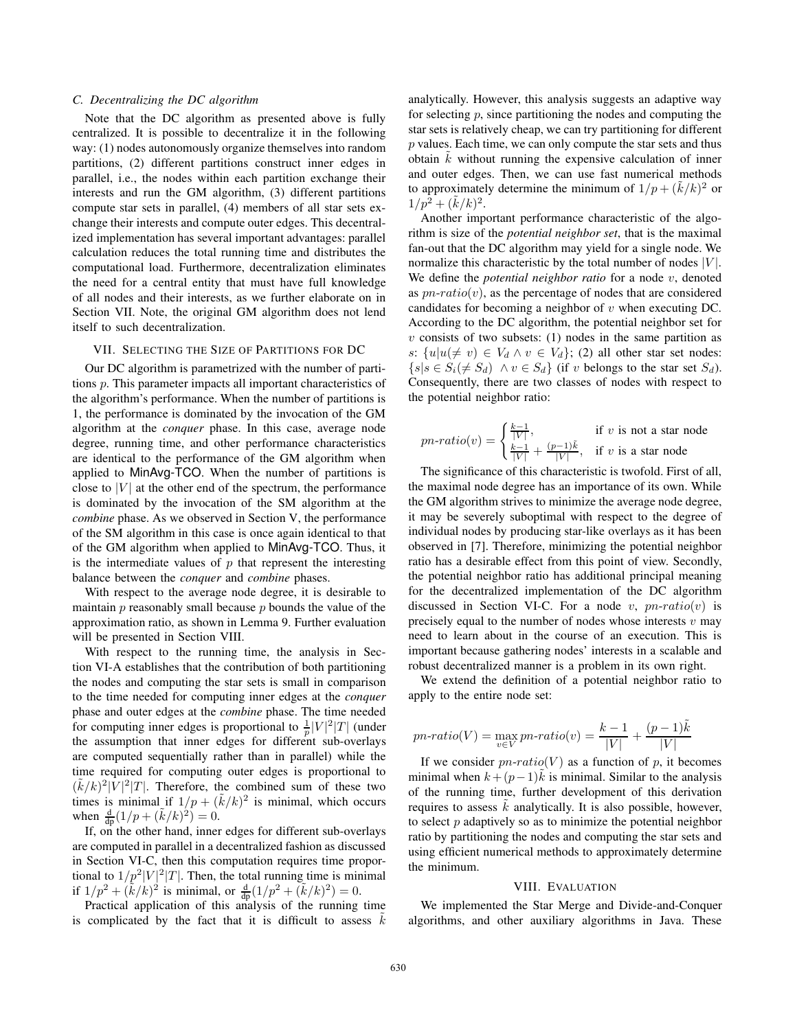## *C. Decentralizing the DC algorithm*

Note that the DC algorithm as presented above is fully centralized. It is possible to decentralize it in the following way: (1) nodes autonomously organize themselves into random partitions, (2) different partitions construct inner edges in parallel, i.e., the nodes within each partition exchange their interests and run the GM algorithm, (3) different partitions compute star sets in parallel, (4) members of all star sets exchange their interests and compute outer edges. This decentralized implementation has several important advantages: parallel calculation reduces the total running time and distributes the computational load. Furthermore, decentralization eliminates the need for a central entity that must have full knowledge of all nodes and their interests, as we further elaborate on in Section VII. Note, the original GM algorithm does not lend itself to such decentralization.

## VII. SELECTING THE SIZE OF PARTITIONS FOR DC

Our DC algorithm is parametrized with the number of partitions p. This parameter impacts all important characteristics of the algorithm's performance. When the number of partitions is 1, the performance is dominated by the invocation of the GM algorithm at the *conquer* phase. In this case, average node degree, running time, and other performance characteristics are identical to the performance of the GM algorithm when applied to MinAvg-TCO. When the number of partitions is close to  $|V|$  at the other end of the spectrum, the performance is dominated by the invocation of the SM algorithm at the *combine* phase. As we observed in Section V, the performance of the SM algorithm in this case is once again identical to that of the GM algorithm when applied to MinAvg-TCO. Thus, it is the intermediate values of  $p$  that represent the interesting balance between the *conquer* and *combine* phases.

With respect to the average node degree, it is desirable to maintain  $p$  reasonably small because  $p$  bounds the value of the approximation ratio, as shown in Lemma 9. Further evaluation will be presented in Section VIII.

With respect to the running time, the analysis in Section VI-A establishes that the contribution of both partitioning the nodes and computing the star sets is small in comparison to the time needed for computing inner edges at the *conquer* phase and outer edges at the *combine* phase. The time needed for computing inner edges is proportional to  $\frac{1}{p}|V|^2|T|$  (under the assumption that inner edges for different sub-overlays are computed sequentially rather than in parallel) while the time required for computing outer edges is proportional to  $(\tilde{k}/k)^2 |\tilde{V}|^2 |T|$ . Therefore, the combined sum of these two times is minimal if  $1/p + (\tilde{k}/k)^2$  is minimal, which occurs when  $\frac{d}{dp}(1/p + (\tilde{k}/k)^2) = 0.$ 

If, on the other hand, inner edges for different sub-overlays are computed in parallel in a decentralized fashion as discussed in Section VI-C, then this computation requires time proportional to  $1/p^2|V|^2|T|$ . Then, the total running time is minimal if  $1/p^2 + (\tilde{k}/k)^2$  is minimal, or  $\frac{d}{dp}(1/p^2 + (\tilde{k}/k)^2) = 0$ .

Practical application of this analysis of the running time is complicated by the fact that it is difficult to assess  $k$ 

analytically. However, this analysis suggests an adaptive way for selecting  $p$ , since partitioning the nodes and computing the star sets is relatively cheap, we can try partitioning for different  $p$  values. Each time, we can only compute the star sets and thus obtain  $\tilde{k}$  without running the expensive calculation of inner and outer edges. Then, we can use fast numerical methods to approximately determine the minimum of  $1/p + (\tilde{k}/k)^2$  or  $1/p^2 + (\tilde{k}/k)^2$ .

Another important performance characteristic of the algorithm is size of the *potential neighbor set*, that is the maximal fan-out that the DC algorithm may yield for a single node. We normalize this characteristic by the total number of nodes  $|V|$ . We define the *potential neighbor ratio* for a node v, denoted as  $pn-ratio(v)$ , as the percentage of nodes that are considered candidates for becoming a neighbor of  $v$  when executing DC. According to the DC algorithm, the potential neighbor set for  $v$  consists of two subsets: (1) nodes in the same partition as s:  $\{u | u \neq v\} \in V_d \wedge v \in V_d\};$  (2) all other star set nodes:  ${s | s \in S_i (\neq S_d) \land v \in S_d}$  (if v belongs to the star set  $S_d$ ). Consequently, there are two classes of nodes with respect to the potential neighbor ratio:

$$
pn\text{-}ratio(v) = \begin{cases} \frac{k-1}{|V|}, & \text{if } v \text{ is not a star node} \\ \frac{k-1}{|V|} + \frac{(p-1)\tilde{k}}{|V|}, & \text{if } v \text{ is a star node} \end{cases}
$$

The significance of this characteristic is twofold. First of all, the maximal node degree has an importance of its own. While the GM algorithm strives to minimize the average node degree, it may be severely suboptimal with respect to the degree of individual nodes by producing star-like overlays as it has been observed in [7]. Therefore, minimizing the potential neighbor ratio has a desirable effect from this point of view. Secondly, the potential neighbor ratio has additional principal meaning for the decentralized implementation of the DC algorithm discussed in Section VI-C. For a node v,  $pn-ratio(v)$  is precisely equal to the number of nodes whose interests  $v$  may need to learn about in the course of an execution. This is important because gathering nodes' interests in a scalable and robust decentralized manner is a problem in its own right.

We extend the definition of a potential neighbor ratio to apply to the entire node set:

$$
pn\text{-}ratio(V) = \max_{v \in V} pn\text{-}ratio(v) = \frac{k-1}{|V|} + \frac{(p-1)\tilde{k}}{|V|}
$$

If we consider  $pn\text{-}ratio(V)$  as a function of p, it becomes minimal when  $k + (p-1)k$  is minimal. Similar to the analysis of the running time, further development of this derivation requires to assess  $\vec{k}$  analytically. It is also possible, however, to select  $p$  adaptively so as to minimize the potential neighbor ratio by partitioning the nodes and computing the star sets and using efficient numerical methods to approximately determine the minimum.

#### VIII. EVALUATION

We implemented the Star Merge and Divide-and-Conquer algorithms, and other auxiliary algorithms in Java. These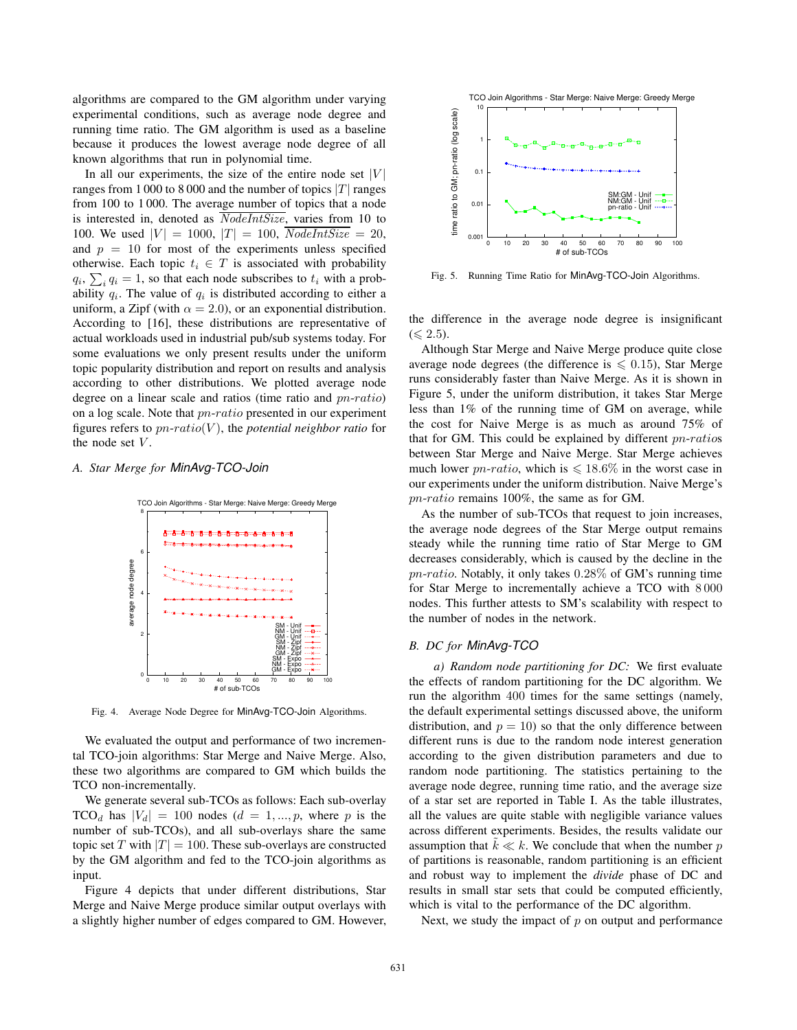algorithms are compared to the GM algorithm under varying experimental conditions, such as average node degree and running time ratio. The GM algorithm is used as a baseline because it produces the lowest average node degree of all known algorithms that run in polynomial time.

In all our experiments, the size of the entire node set  $|V|$ ranges from 1 000 to 8 000 and the number of topics  $|T|$  ranges from 100 to 1 000. The average number of topics that a node is interested in, denoted as  $\overline{NodeIntSize}$ , varies from 10 to 100. We used  $|V| = 1000$ ,  $|T| = 100$ ,  $NodelntSize = 20$ , and  $p = 10$  for most of the experiments unless specified otherwise. Each topic  $t_i \in T$  is associated with probability  $q_i$ ,  $\sum_i q_i = 1$ , so that each node subscribes to  $t_i$  with a probability  $q_i$ . The value of  $q_i$  is distributed according to either a uniform, a Zipf (with  $\alpha = 2.0$ ), or an exponential distribution. According to [16], these distributions are representative of actual workloads used in industrial pub/sub systems today. For some evaluations we only present results under the uniform topic popularity distribution and report on results and analysis according to other distributions. We plotted average node degree on a linear scale and ratios (time ratio and pn-ratio) on a log scale. Note that pn-ratio presented in our experiment figures refers to  $pn\text{-}ratio(V)$ , the *potential neighbor ratio* for the node set  $V$ .

# *A. Star Merge for* MinAvg-TCO-Join



Fig. 4. Average Node Degree for MinAvg-TCO-Join Algorithms.

We evaluated the output and performance of two incremental TCO-join algorithms: Star Merge and Naive Merge. Also, these two algorithms are compared to GM which builds the TCO non-incrementally.

We generate several sub-TCOs as follows: Each sub-overlay  $TCO<sub>d</sub>$  has  $|V<sub>d</sub>| = 100$  nodes  $(d = 1, ..., p$ , where p is the number of sub-TCOs), and all sub-overlays share the same topic set T with  $|T| = 100$ . These sub-overlays are constructed by the GM algorithm and fed to the TCO-join algorithms as input.

Figure 4 depicts that under different distributions, Star Merge and Naive Merge produce similar output overlays with a slightly higher number of edges compared to GM. However,



Fig. 5. Running Time Ratio for MinAvg-TCO-Join Algorithms.

the difference in the average node degree is insignificant  $(\leqslant 2.5)$ .

Although Star Merge and Naive Merge produce quite close average node degrees (the difference is  $\leq 0.15$ ), Star Merge runs considerably faster than Naive Merge. As it is shown in Figure 5, under the uniform distribution, it takes Star Merge less than 1% of the running time of GM on average, while the cost for Naive Merge is as much as around 75% of that for GM. This could be explained by different  $pn-ratios$ between Star Merge and Naive Merge. Star Merge achieves much lower *pn-ratio*, which is  $\leq 18.6\%$  in the worst case in our experiments under the uniform distribution. Naive Merge's pn-ratio remains 100%, the same as for GM.

As the number of sub-TCOs that request to join increases, the average node degrees of the Star Merge output remains steady while the running time ratio of Star Merge to GM decreases considerably, which is caused by the decline in the pn-ratio. Notably, it only takes 0.28% of GM's running time for Star Merge to incrementally achieve a TCO with 8 000 nodes. This further attests to SM's scalability with respect to the number of nodes in the network.

#### *B. DC for* MinAvg-TCO

*a) Random node partitioning for DC:* We first evaluate the effects of random partitioning for the DC algorithm. We run the algorithm 400 times for the same settings (namely, the default experimental settings discussed above, the uniform distribution, and  $p = 10$ ) so that the only difference between different runs is due to the random node interest generation according to the given distribution parameters and due to random node partitioning. The statistics pertaining to the average node degree, running time ratio, and the average size of a star set are reported in Table I. As the table illustrates, all the values are quite stable with negligible variance values across different experiments. Besides, the results validate our assumption that  $k \ll k$ . We conclude that when the number p of partitions is reasonable, random partitioning is an efficient and robust way to implement the *divide* phase of DC and results in small star sets that could be computed efficiently, which is vital to the performance of the DC algorithm.

Next, we study the impact of  $p$  on output and performance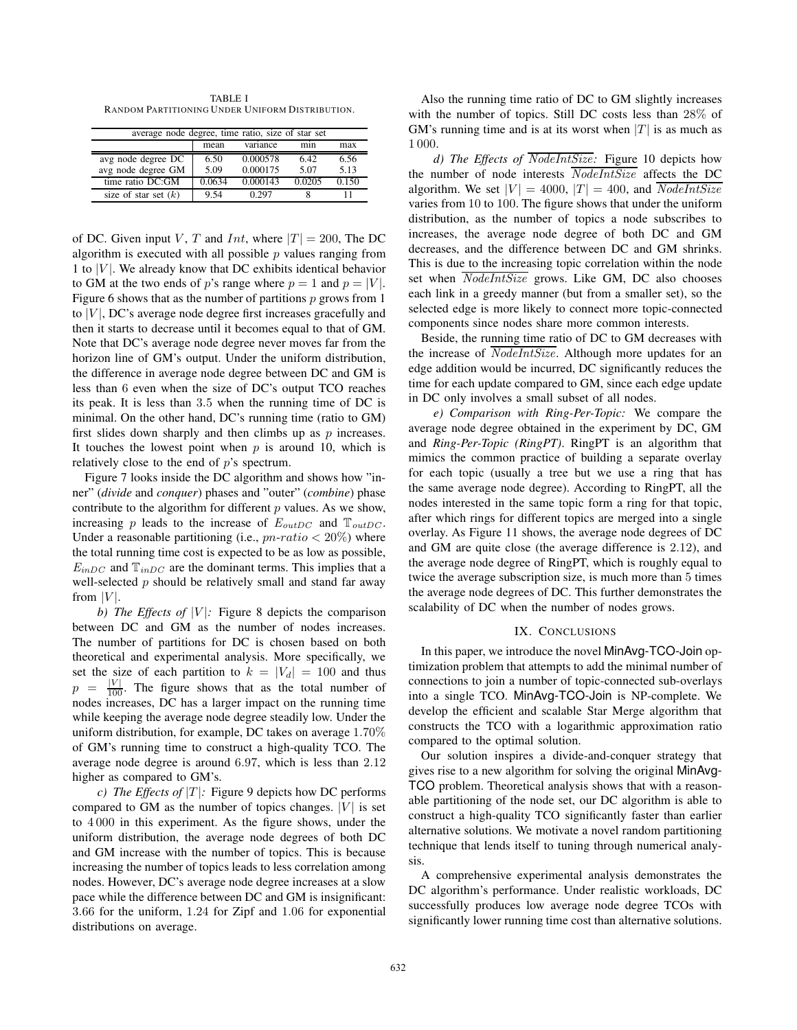TABLE I RANDOM PARTITIONING UNDER UNIFORM DISTRIBUTION.

| average node degree, time ratio, size of star set |        |          |        |       |  |  |  |
|---------------------------------------------------|--------|----------|--------|-------|--|--|--|
|                                                   | mean   | variance | mın    | max   |  |  |  |
| avg node degree DC                                | 6.50   | 0.000578 | 6.42   | 6.56  |  |  |  |
| avg node degree GM                                | 5.09   | 0.000175 | 5.07   | 5.13  |  |  |  |
| time ratio DC:GM                                  | 0.0634 | 0.000143 | 0.0205 | 0.150 |  |  |  |
| size of star set $(k)$                            | 9.54   | 0.297    |        |       |  |  |  |

of DC. Given input V, T and Int, where  $|T| = 200$ , The DC algorithm is executed with all possible  $p$  values ranging from 1 to  $|V|$ . We already know that DC exhibits identical behavior to GM at the two ends of p's range where  $p = 1$  and  $p = |V|$ . Figure 6 shows that as the number of partitions  $p$  grows from 1 to  $|V|$ , DC's average node degree first increases gracefully and then it starts to decrease until it becomes equal to that of GM. Note that DC's average node degree never moves far from the horizon line of GM's output. Under the uniform distribution, the difference in average node degree between DC and GM is less than 6 even when the size of DC's output TCO reaches its peak. It is less than 3.5 when the running time of DC is minimal. On the other hand, DC's running time (ratio to GM) first slides down sharply and then climbs up as  $p$  increases. It touches the lowest point when  $p$  is around 10, which is relatively close to the end of p's spectrum.

Figure 7 looks inside the DC algorithm and shows how "inner" (*divide* and *conquer*) phases and "outer" (*combine*) phase contribute to the algorithm for different  $p$  values. As we show, increasing p leads to the increase of  $E_{outDC}$  and  $\mathbb{T}_{outDC}$ . Under a reasonable partitioning (i.e.,  $pn\text{-}ratio < 20\%$ ) where the total running time cost is expected to be as low as possible,  $E_{inDC}$  and  $\mathbb{T}_{inDC}$  are the dominant terms. This implies that a well-selected  $p$  should be relatively small and stand far away from  $|V|$ .

*b) The Effects of*  $|V|$ *:* Figure 8 depicts the comparison between DC and GM as the number of nodes increases. The number of partitions for DC is chosen based on both theoretical and experimental analysis. More specifically, we set the size of each partition to  $k = |V_d| = 100$  and thus  $p = \frac{|V|}{100}$ . The figure shows that as the total number of nodes increases, DC has a larger impact on the running time while keeping the average node degree steadily low. Under the uniform distribution, for example, DC takes on average 1.70% of GM's running time to construct a high-quality TCO. The average node degree is around 6.97, which is less than 2.12 higher as compared to GM's.

*c) The Effects of*  $|T|$ *:* Figure 9 depicts how DC performs compared to GM as the number of topics changes.  $|V|$  is set to 4 000 in this experiment. As the figure shows, under the uniform distribution, the average node degrees of both DC and GM increase with the number of topics. This is because increasing the number of topics leads to less correlation among nodes. However, DC's average node degree increases at a slow pace while the difference between DC and GM is insignificant: 3.66 for the uniform, 1.24 for Zipf and 1.06 for exponential distributions on average.

Also the running time ratio of DC to GM slightly increases with the number of topics. Still DC costs less than 28% of GM's running time and is at its worst when  $|T|$  is as much as 1 000.

*d) The Effects of* NodeIntSize*:* Figure 10 depicts how the number of node interests **NodeIntSize** affects the DC algorithm. We set  $|V| = 4000$ ,  $|T| = 400$ , and  $\overline{NodeIntSize}$ varies from 10 to 100. The figure shows that under the uniform distribution, as the number of topics a node subscribes to increases, the average node degree of both DC and GM decreases, and the difference between DC and GM shrinks. This is due to the increasing topic correlation within the node set when **NodeIntSize** grows. Like GM, DC also chooses each link in a greedy manner (but from a smaller set), so the selected edge is more likely to connect more topic-connected components since nodes share more common interests.

Beside, the running time ratio of DC to GM decreases with the increase of  $\overline{NodeIntSize}$ . Although more updates for an edge addition would be incurred, DC significantly reduces the time for each update compared to GM, since each edge update in DC only involves a small subset of all nodes.

*e) Comparison with Ring-Per-Topic:* We compare the average node degree obtained in the experiment by DC, GM and *Ring-Per-Topic (RingPT)*. RingPT is an algorithm that mimics the common practice of building a separate overlay for each topic (usually a tree but we use a ring that has the same average node degree). According to RingPT, all the nodes interested in the same topic form a ring for that topic, after which rings for different topics are merged into a single overlay. As Figure 11 shows, the average node degrees of DC and GM are quite close (the average difference is 2.12), and the average node degree of RingPT, which is roughly equal to twice the average subscription size, is much more than 5 times the average node degrees of DC. This further demonstrates the scalability of DC when the number of nodes grows.

## IX. CONCLUSIONS

In this paper, we introduce the novel MinAvg-TCO-Join optimization problem that attempts to add the minimal number of connections to join a number of topic-connected sub-overlays into a single TCO. MinAvg-TCO-Join is NP-complete. We develop the efficient and scalable Star Merge algorithm that constructs the TCO with a logarithmic approximation ratio compared to the optimal solution.

Our solution inspires a divide-and-conquer strategy that gives rise to a new algorithm for solving the original MinAvg-TCO problem. Theoretical analysis shows that with a reasonable partitioning of the node set, our DC algorithm is able to construct a high-quality TCO significantly faster than earlier alternative solutions. We motivate a novel random partitioning technique that lends itself to tuning through numerical analysis.

A comprehensive experimental analysis demonstrates the DC algorithm's performance. Under realistic workloads, DC successfully produces low average node degree TCOs with significantly lower running time cost than alternative solutions.